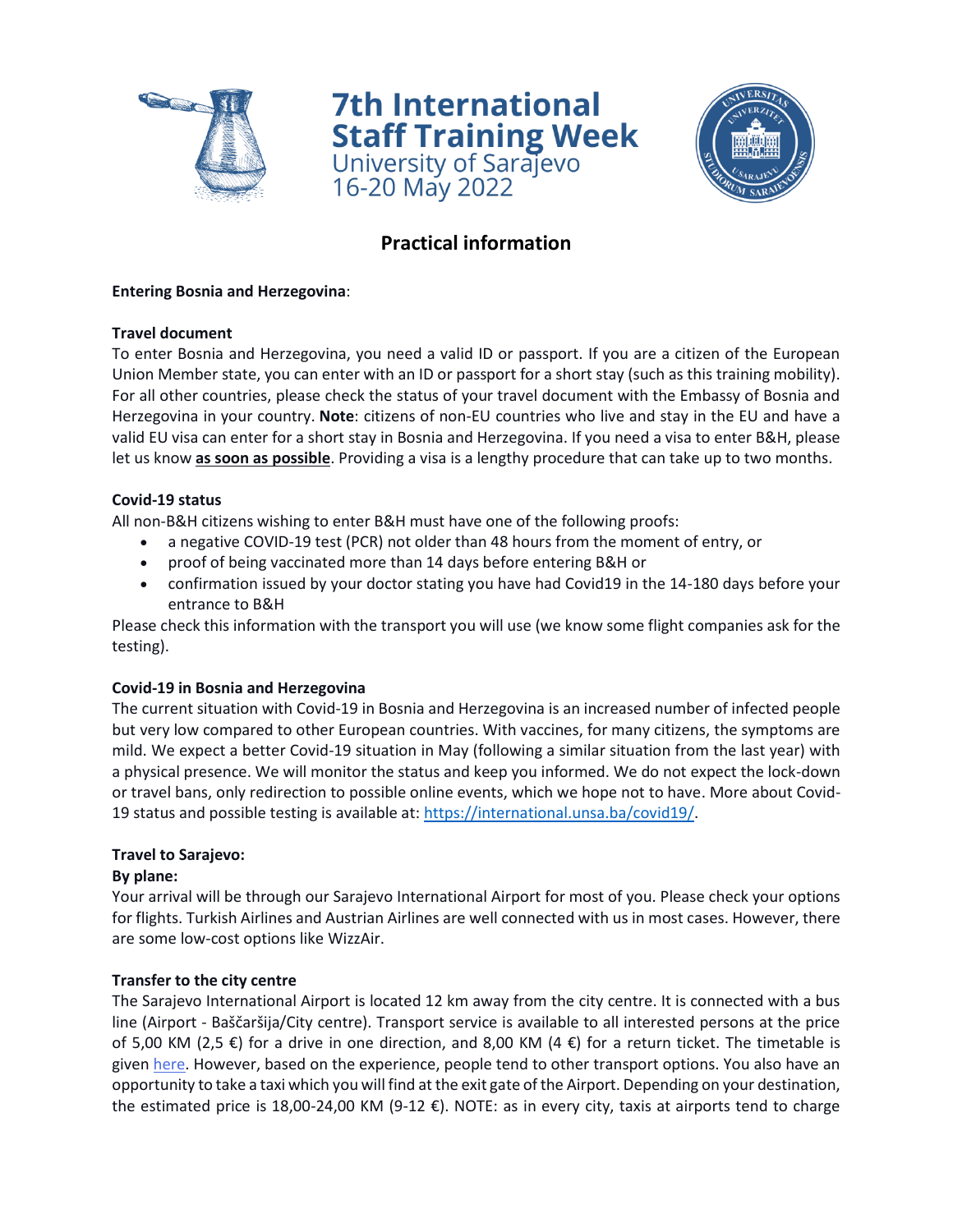

**7th International Staff Training Week**<br>University of Sarajevo 16-20 May 2022



# **Practical information**

## **Entering Bosnia and Herzegovina**:

## **Travel document**

To enter Bosnia and Herzegovina, you need a valid ID or passport. If you are a citizen of the European Union Member state, you can enter with an ID or passport for a short stay (such as this training mobility). For all other countries, please check the status of your travel document with the Embassy of Bosnia and Herzegovina in your country. **Note**: citizens of non-EU countries who live and stay in the EU and have a valid EU visa can enter for a short stay in Bosnia and Herzegovina. If you need a visa to enter B&H, please let us know **as soon as possible**. Providing a visa is a lengthy procedure that can take up to two months.

## **Covid-19 status**

All non-B&H citizens wishing to enter B&H must have one of the following proofs:

- a negative COVID-19 test (PCR) not older than 48 hours from the moment of entry, or
- proof of being vaccinated more than 14 days before entering B&H or
- confirmation issued by your doctor stating you have had Covid19 in the 14-180 days before your entrance to B&H

Please check this information with the transport you will use (we know some flight companies ask for the testing).

#### **Covid-19 in Bosnia and Herzegovina**

The current situation with Covid-19 in Bosnia and Herzegovina is an increased number of infected people but very low compared to other European countries. With vaccines, for many citizens, the symptoms are mild. We expect a better Covid-19 situation in May (following a similar situation from the last year) with a physical presence. We will monitor the status and keep you informed. We do not expect the lock-down or travel bans, only redirection to possible online events, which we hope not to have. More about Covid-19 status and possible testing is available at: [https://international.unsa.ba/covid19/.](https://international.unsa.ba/covid19/)

# **Travel to Sarajevo:**

#### **By plane:**

Your arrival will be through our Sarajevo International Airport for most of you. Please check your options for flights. Turkish Airlines and Austrian Airlines are well connected with us in most cases. However, there are some low-cost options like WizzAir.

#### **Transfer to the city centre**

The Sarajevo International Airport is located 12 km away from the city centre. It is connected with a bus line (Airport - Baščaršija/City centre). Transport service is available to all interested persons at the price of 5,00 KM (2,5  $\epsilon$ ) for a drive in one direction, and 8,00 KM (4  $\epsilon$ ) for a return ticket. The timetable is given [here.](https://www.sarajevo-airport.ba/Page/Autobus) However, based on the experience, people tend to other transport options. You also have an opportunity to take a taxi which you will find at the exit gate of the Airport. Depending on your destination, the estimated price is 18,00-24,00 KM (9-12 €). NOTE: as in every city, taxis at airports tend to charge